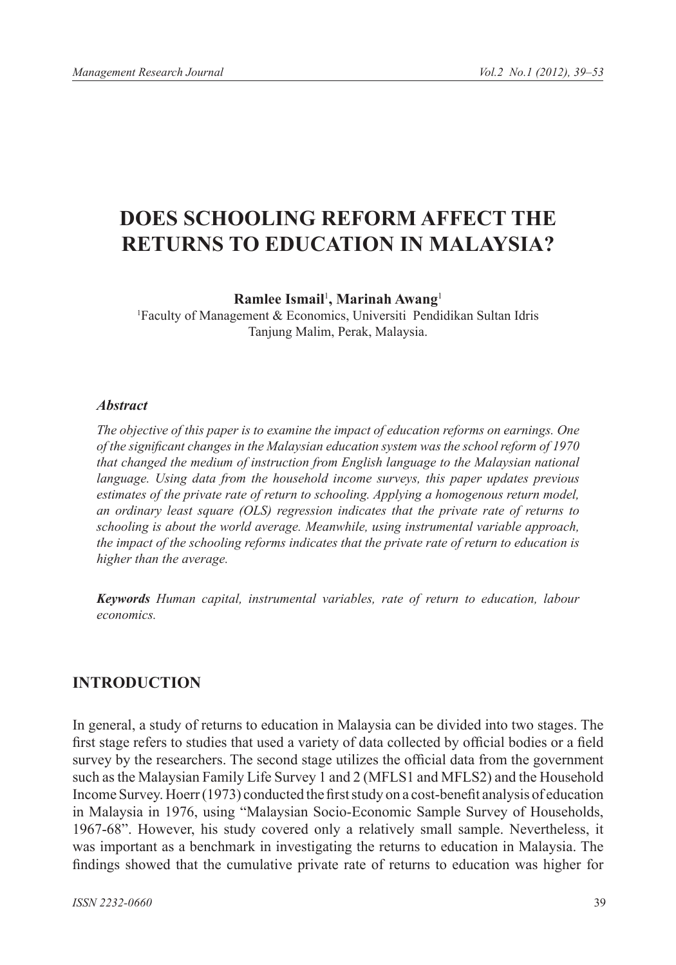# **DOES SCHOOLING REFORM AFFECT THE RETURNS TO EDUCATION IN MALAYSIA?**

**Ramlee Ismail**<sup>1</sup> **, Marinah Awang**<sup>1</sup>

1 Faculty of Management & Economics, Universiti Pendidikan Sultan Idris Tanjung Malim, Perak, Malaysia.

#### *Abstract*

*The objective of this paper is to examine the impact of education reforms on earnings. One of the significant changes in the Malaysian education system was the school reform of 1970 that changed the medium of instruction from English language to the Malaysian national*  language. Using data from the household income surveys, this paper updates previous *estimates of the private rate of return to schooling. Applying a homogenous return model, an ordinary least square (OLS) regression indicates that the private rate of returns to schooling is about the world average. Meanwhile, using instrumental variable approach, the impact of the schooling reforms indicates that the private rate of return to education is higher than the average.* 

*Keywords Human capital, instrumental variables, rate of return to education, labour economics.*

# **INTRODUCTION**

In general, a study of returns to education in Malaysia can be divided into two stages. The first stage refers to studies that used a variety of data collected by official bodies or a field survey by the researchers. The second stage utilizes the official data from the government such as the Malaysian Family Life Survey 1 and 2 (MFLS1 and MFLS2) and the Household Income Survey. Hoerr (1973) conducted the first study on a cost-benefit analysis of education in Malaysia in 1976, using "Malaysian Socio-Economic Sample Survey of Households, 1967-68". However, his study covered only a relatively small sample. Nevertheless, it was important as a benchmark in investigating the returns to education in Malaysia. The findings showed that the cumulative private rate of returns to education was higher for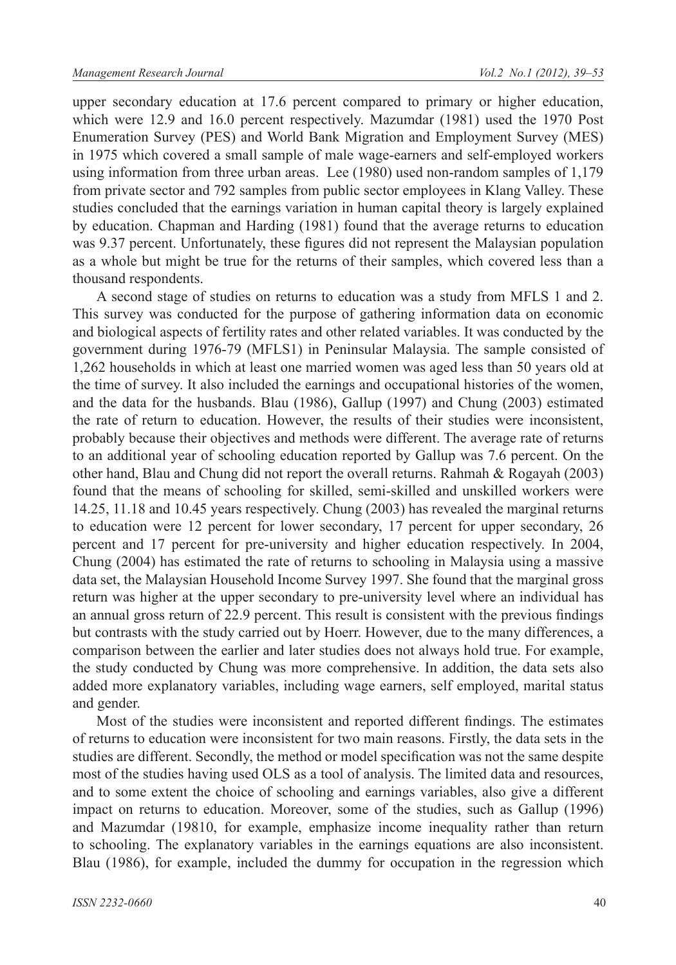upper secondary education at 17.6 percent compared to primary or higher education, which were 12.9 and 16.0 percent respectively. Mazumdar (1981) used the 1970 Post Enumeration Survey (PES) and World Bank Migration and Employment Survey (MES) in 1975 which covered a small sample of male wage-earners and self-employed workers using information from three urban areas. Lee (1980) used non-random samples of 1,179 from private sector and 792 samples from public sector employees in Klang Valley. These studies concluded that the earnings variation in human capital theory is largely explained by education. Chapman and Harding (1981) found that the average returns to education was 9.37 percent. Unfortunately, these figures did not represent the Malaysian population as a whole but might be true for the returns of their samples, which covered less than a thousand respondents.

A second stage of studies on returns to education was a study from MFLS 1 and 2. This survey was conducted for the purpose of gathering information data on economic and biological aspects of fertility rates and other related variables. It was conducted by the government during 1976-79 (MFLS1) in Peninsular Malaysia. The sample consisted of 1,262 households in which at least one married women was aged less than 50 years old at the time of survey. It also included the earnings and occupational histories of the women, and the data for the husbands. Blau (1986), Gallup (1997) and Chung (2003) estimated the rate of return to education. However, the results of their studies were inconsistent, probably because their objectives and methods were different. The average rate of returns to an additional year of schooling education reported by Gallup was 7.6 percent. On the other hand, Blau and Chung did not report the overall returns. Rahmah & Rogayah (2003) found that the means of schooling for skilled, semi-skilled and unskilled workers were 14.25, 11.18 and 10.45 years respectively. Chung (2003) has revealed the marginal returns to education were 12 percent for lower secondary, 17 percent for upper secondary, 26 percent and 17 percent for pre-university and higher education respectively. In 2004, Chung (2004) has estimated the rate of returns to schooling in Malaysia using a massive data set, the Malaysian Household Income Survey 1997. She found that the marginal gross return was higher at the upper secondary to pre-university level where an individual has an annual gross return of 22.9 percent. This result is consistent with the previous findings but contrasts with the study carried out by Hoerr. However, due to the many differences, a comparison between the earlier and later studies does not always hold true. For example, the study conducted by Chung was more comprehensive. In addition, the data sets also added more explanatory variables, including wage earners, self employed, marital status and gender.

Most of the studies were inconsistent and reported different findings. The estimates of returns to education were inconsistent for two main reasons. Firstly, the data sets in the studies are different. Secondly, the method or model specification was not the same despite most of the studies having used OLS as a tool of analysis. The limited data and resources, and to some extent the choice of schooling and earnings variables, also give a different impact on returns to education. Moreover, some of the studies, such as Gallup (1996) and Mazumdar (19810, for example, emphasize income inequality rather than return to schooling. The explanatory variables in the earnings equations are also inconsistent. Blau (1986), for example, included the dummy for occupation in the regression which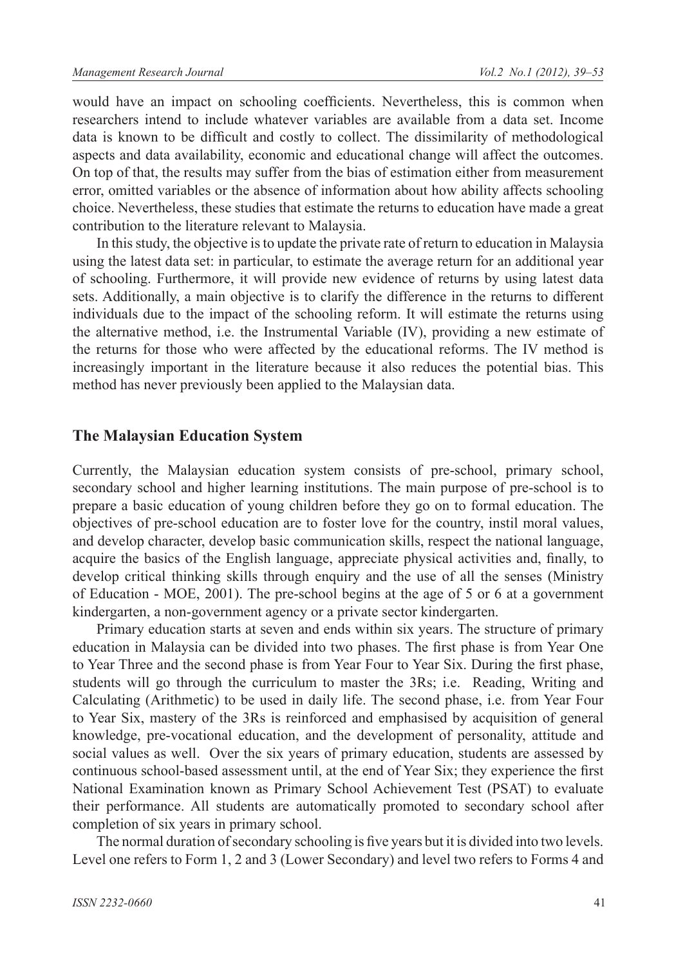would have an impact on schooling coefficients. Nevertheless, this is common when researchers intend to include whatever variables are available from a data set. Income data is known to be difficult and costly to collect. The dissimilarity of methodological aspects and data availability, economic and educational change will affect the outcomes. On top of that, the results may suffer from the bias of estimation either from measurement error, omitted variables or the absence of information about how ability affects schooling choice. Nevertheless, these studies that estimate the returns to education have made a great contribution to the literature relevant to Malaysia.

In this study, the objective is to update the private rate of return to education in Malaysia using the latest data set: in particular, to estimate the average return for an additional year of schooling. Furthermore, it will provide new evidence of returns by using latest data sets. Additionally, a main objective is to clarify the difference in the returns to different individuals due to the impact of the schooling reform. It will estimate the returns using the alternative method, i.e. the Instrumental Variable (IV), providing a new estimate of the returns for those who were affected by the educational reforms. The IV method is increasingly important in the literature because it also reduces the potential bias. This method has never previously been applied to the Malaysian data.

#### **The Malaysian Education System**

Currently, the Malaysian education system consists of pre-school, primary school, secondary school and higher learning institutions. The main purpose of pre-school is to prepare a basic education of young children before they go on to formal education. The objectives of pre-school education are to foster love for the country, instil moral values, and develop character, develop basic communication skills, respect the national language, acquire the basics of the English language, appreciate physical activities and, finally, to develop critical thinking skills through enquiry and the use of all the senses (Ministry of Education - MOE, 2001). The pre-school begins at the age of 5 or 6 at a government kindergarten, a non-government agency or a private sector kindergarten.

Primary education starts at seven and ends within six years. The structure of primary education in Malaysia can be divided into two phases. The first phase is from Year One to Year Three and the second phase is from Year Four to Year Six. During the first phase, students will go through the curriculum to master the 3Rs; i.e. Reading, Writing and Calculating (Arithmetic) to be used in daily life. The second phase, i.e. from Year Four to Year Six, mastery of the 3Rs is reinforced and emphasised by acquisition of general knowledge, pre-vocational education, and the development of personality, attitude and social values as well. Over the six years of primary education, students are assessed by continuous school-based assessment until, at the end of Year Six; they experience the first National Examination known as Primary School Achievement Test (PSAT) to evaluate their performance. All students are automatically promoted to secondary school after completion of six years in primary school.

The normal duration of secondary schooling is five years but it is divided into two levels. Level one refers to Form 1, 2 and 3 (Lower Secondary) and level two refers to Forms 4 and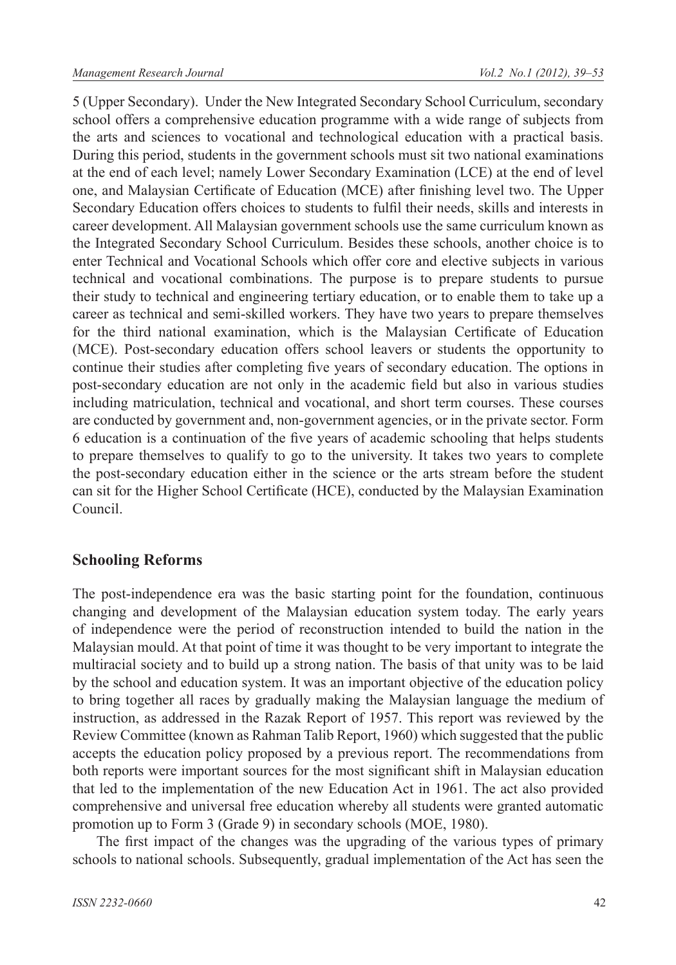5 (Upper Secondary). Under the New Integrated Secondary School Curriculum, secondary school offers a comprehensive education programme with a wide range of subjects from the arts and sciences to vocational and technological education with a practical basis. During this period, students in the government schools must sit two national examinations at the end of each level; namely Lower Secondary Examination (LCE) at the end of level one, and Malaysian Certificate of Education (MCE) after finishing level two. The Upper Secondary Education offers choices to students to fulfil their needs, skills and interests in career development. All Malaysian government schools use the same curriculum known as the Integrated Secondary School Curriculum. Besides these schools, another choice is to enter Technical and Vocational Schools which offer core and elective subjects in various technical and vocational combinations. The purpose is to prepare students to pursue their study to technical and engineering tertiary education, or to enable them to take up a career as technical and semi-skilled workers. They have two years to prepare themselves for the third national examination, which is the Malaysian Certificate of Education (MCE). Post-secondary education offers school leavers or students the opportunity to continue their studies after completing five years of secondary education. The options in post-secondary education are not only in the academic field but also in various studies including matriculation, technical and vocational, and short term courses. These courses are conducted by government and, non-government agencies, or in the private sector. Form 6 education is a continuation of the five years of academic schooling that helps students to prepare themselves to qualify to go to the university. It takes two years to complete the post-secondary education either in the science or the arts stream before the student can sit for the Higher School Certificate (HCE), conducted by the Malaysian Examination Council.

## **Schooling Reforms**

The post-independence era was the basic starting point for the foundation, continuous changing and development of the Malaysian education system today. The early years of independence were the period of reconstruction intended to build the nation in the Malaysian mould. At that point of time it was thought to be very important to integrate the multiracial society and to build up a strong nation. The basis of that unity was to be laid by the school and education system. It was an important objective of the education policy to bring together all races by gradually making the Malaysian language the medium of instruction, as addressed in the Razak Report of 1957. This report was reviewed by the Review Committee (known as Rahman Talib Report, 1960) which suggested that the public accepts the education policy proposed by a previous report. The recommendations from both reports were important sources for the most significant shift in Malaysian education that led to the implementation of the new Education Act in 1961. The act also provided comprehensive and universal free education whereby all students were granted automatic promotion up to Form 3 (Grade 9) in secondary schools (MOE, 1980).

The first impact of the changes was the upgrading of the various types of primary schools to national schools. Subsequently, gradual implementation of the Act has seen the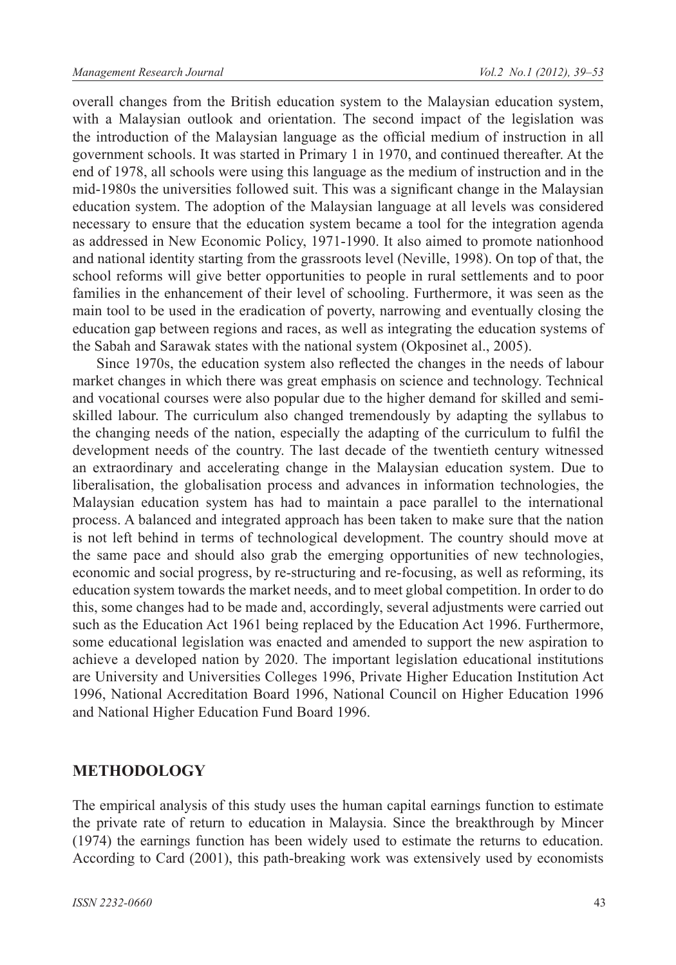overall changes from the British education system to the Malaysian education system, with a Malaysian outlook and orientation. The second impact of the legislation was the introduction of the Malaysian language as the official medium of instruction in all government schools. It was started in Primary 1 in 1970, and continued thereafter. At the end of 1978, all schools were using this language as the medium of instruction and in the mid-1980s the universities followed suit. This was a significant change in the Malaysian education system. The adoption of the Malaysian language at all levels was considered necessary to ensure that the education system became a tool for the integration agenda as addressed in New Economic Policy, 1971-1990. It also aimed to promote nationhood and national identity starting from the grassroots level (Neville, 1998). On top of that, the school reforms will give better opportunities to people in rural settlements and to poor families in the enhancement of their level of schooling. Furthermore, it was seen as the main tool to be used in the eradication of poverty, narrowing and eventually closing the education gap between regions and races, as well as integrating the education systems of the Sabah and Sarawak states with the national system (Okposinet al., 2005).

Since 1970s, the education system also reflected the changes in the needs of labour market changes in which there was great emphasis on science and technology. Technical and vocational courses were also popular due to the higher demand for skilled and semiskilled labour. The curriculum also changed tremendously by adapting the syllabus to the changing needs of the nation, especially the adapting of the curriculum to fulfil the development needs of the country. The last decade of the twentieth century witnessed an extraordinary and accelerating change in the Malaysian education system. Due to liberalisation, the globalisation process and advances in information technologies, the Malaysian education system has had to maintain a pace parallel to the international process. A balanced and integrated approach has been taken to make sure that the nation is not left behind in terms of technological development. The country should move at the same pace and should also grab the emerging opportunities of new technologies, economic and social progress, by re-structuring and re-focusing, as well as reforming, its education system towards the market needs, and to meet global competition. In order to do this, some changes had to be made and, accordingly, several adjustments were carried out such as the Education Act 1961 being replaced by the Education Act 1996. Furthermore, some educational legislation was enacted and amended to support the new aspiration to achieve a developed nation by 2020. The important legislation educational institutions are University and Universities Colleges 1996, Private Higher Education Institution Act 1996, National Accreditation Board 1996, National Council on Higher Education 1996 and National Higher Education Fund Board 1996.

## **METHODOLOGY**

The empirical analysis of this study uses the human capital earnings function to estimate the private rate of return to education in Malaysia. Since the breakthrough by Mincer (1974) the earnings function has been widely used to estimate the returns to education. According to Card (2001), this path-breaking work was extensively used by economists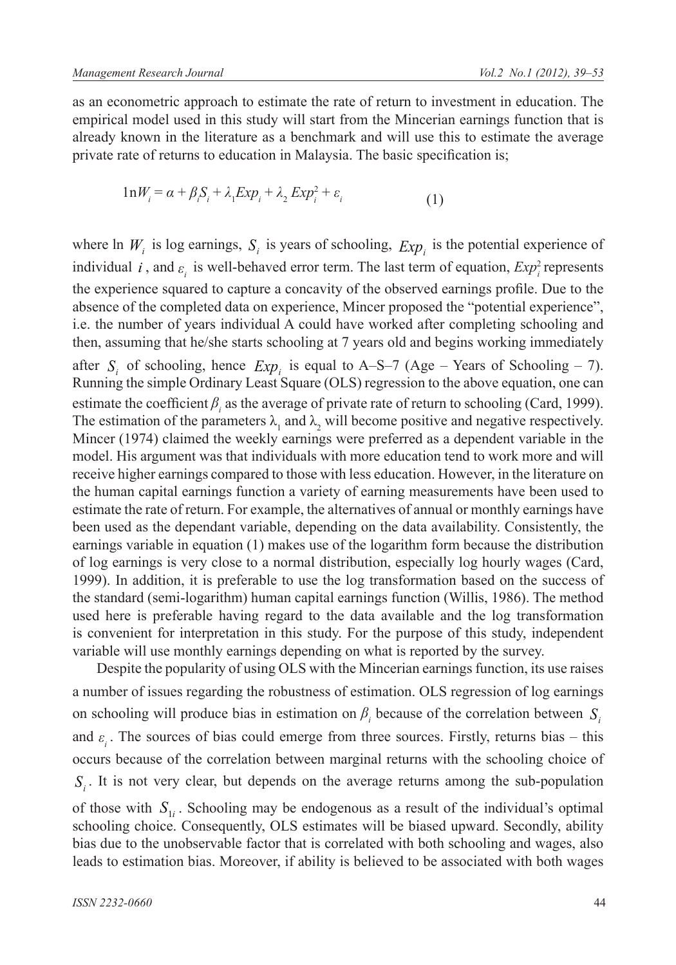as an econometric approach to estimate the rate of return to investment in education. The empirical model used in this study will start from the Mincerian earnings function that is already known in the literature as a benchmark and will use this to estimate the average private rate of returns to education in Malaysia. The basic specification is;

$$
1nW_i = \alpha + \beta_i S_i + \lambda_1 Exp_i + \lambda_2 Exp_i^2 + \varepsilon_i
$$
\n(1)

where ln  $W_i$  is log earnings,  $S_i$  is years of schooling,  $Exp_i$  is the potential experience of individual *i*, and  $\varepsilon$ <sub>*i*</sub> is well-behaved error term. The last term of equation,  $Exp_i^2$  represents the experience squared to capture a concavity of the observed earnings profile. Due to the absence of the completed data on experience, Mincer proposed the "potential experience", i.e. the number of years individual A could have worked after completing schooling and then, assuming that he/she starts schooling at 7 years old and begins working immediately

after  $S_i$  of schooling, hence  $Exp_i$  is equal to A–S–7 (Age – Years of Schooling – 7). Running the simple Ordinary Least Square (OLS) regression to the above equation, one can estimate the coefficient  $\beta$ <sub>i</sub> as the average of private rate of return to schooling (Card, 1999). The estimation of the parameters  $\lambda_1$  and  $\lambda_2$  will become positive and negative respectively. Mincer (1974) claimed the weekly earnings were preferred as a dependent variable in the model. His argument was that individuals with more education tend to work more and will receive higher earnings compared to those with less education. However, in the literature on the human capital earnings function a variety of earning measurements have been used to estimate the rate of return. For example, the alternatives of annual or monthly earnings have been used as the dependant variable, depending on the data availability. Consistently, the earnings variable in equation (1) makes use of the logarithm form because the distribution of log earnings is very close to a normal distribution, especially log hourly wages (Card, 1999). In addition, it is preferable to use the log transformation based on the success of the standard (semi-logarithm) human capital earnings function (Willis, 1986). The method used here is preferable having regard to the data available and the log transformation is convenient for interpretation in this study. For the purpose of this study, independent variable will use monthly earnings depending on what is reported by the survey.

Despite the popularity of using OLS with the Mincerian earnings function, its use raises a number of issues regarding the robustness of estimation. OLS regression of log earnings on schooling will produce bias in estimation on  $\beta$ <sub>i</sub> because of the correlation between  $S$ <sub>i</sub> and  $\varepsilon$ <sub>i</sub>. The sources of bias could emerge from three sources. Firstly, returns bias – this occurs because of the correlation between marginal returns with the schooling choice of  $S_i$ . It is not very clear, but depends on the average returns among the sub-population

of those with  $S_{1i}$ . Schooling may be endogenous as a result of the individual's optimal schooling choice. Consequently, OLS estimates will be biased upward. Secondly, ability bias due to the unobservable factor that is correlated with both schooling and wages, also leads to estimation bias. Moreover, if ability is believed to be associated with both wages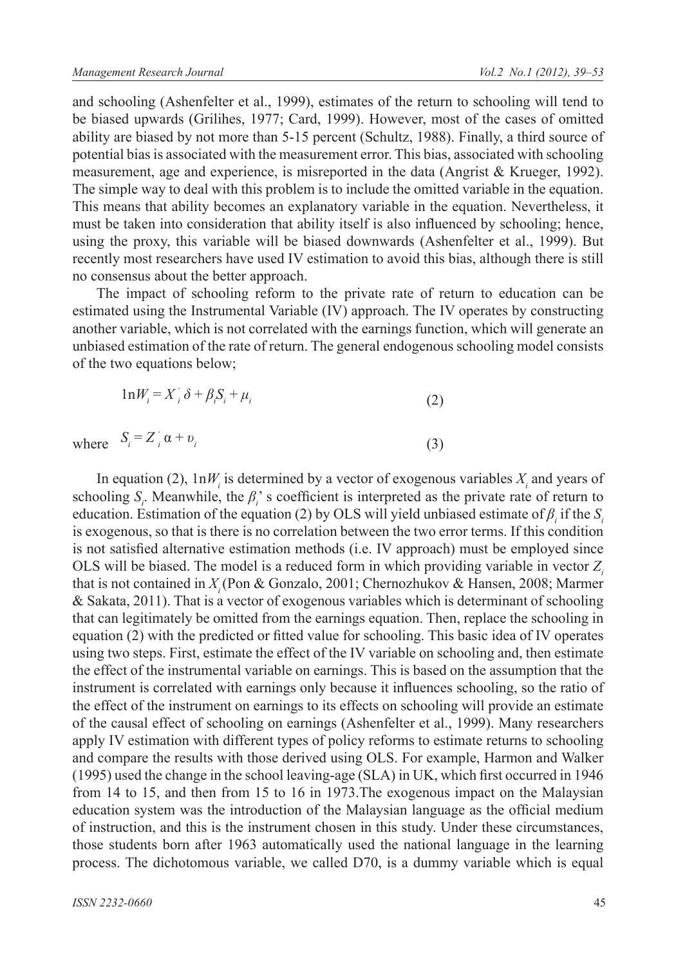and schooling (Ashenfelter et al., 1999), estimates of the return to schooling will tend to be biased upwards (Grilihes, 1977; Card, 1999). However, most of the cases of omitted ability are biased by not more than 5-15 percent (Schultz, 1988). Finally, a third source of potential bias is associated with the measurement error. This bias, associated with schooling measurement, age and experience, is misreported in the data (Angrist & Krueger, 1992). The simple way to deal with this problem is to include the omitted variable in the equation. This means that ability becomes an explanatory variable in the equation. Nevertheless, it must be taken into consideration that ability itself is also influenced by schooling; hence, using the proxy, this variable will be biased downwards (Ashenfelter et al., 1999). But recently most researchers have used IV estimation to avoid this bias, although there is still no consensus about the better approach.

The impact of schooling reform to the private rate of return to education can be estimated using the Instrumental Variable (IV) approach. The IV operates by constructing another variable, which is not correlated with the earnings function, which will generate an unbiased estimation of the rate of return. The general endogenous schooling model consists of the two equations below;

(3)

$$
1nW_i = X_i' \delta + \beta_i S_i + \mu_i
$$
 (2)

where  $S_i = Z_i^{\prime} \alpha + v_i^{\prime}$ 

In equation (2),  $1nW_i$  is determined by a vector of exogenous variables  $X_i$  and years of schooling  $S_i$ . Meanwhile, the  $\beta_i$ 's coefficient is interpreted as the private rate of return to education. Estimation of the equation (2) by OLS will yield unbiased estimate of  $\beta$ <sub>i</sub> if the  $S$ <sub>i</sub> is exogenous, so that is there is no correlation between the two error terms. If this condition is not satisfied alternative estimation methods (i.e. IV approach) must be employed since OLS will be biased. The model is a reduced form in which providing variable in vector Z<sub>i</sub> that is not contained in *Xi* (Pon & Gonzalo, 2001; Chernozhukov & Hansen, 2008; Marmer & Sakata, 2011). That is a vector of exogenous variables which is determinant of schooling that can legitimately be omitted from the earnings equation. Then, replace the schooling in equation (2) with the predicted or fitted value for schooling. This basic idea of IV operates using two steps. First, estimate the effect of the IV variable on schooling and, then estimate the effect of the instrumental variable on earnings. This is based on the assumption that the instrument is correlated with earnings only because it influences schooling, so the ratio of the effect of the instrument on earnings to its effects on schooling will provide an estimate of the causal effect of schooling on earnings (Ashenfelter et al., 1999). Many researchers apply IV estimation with different types of policy reforms to estimate returns to schooling and compare the results with those derived using OLS. For example, Harmon and Walker (1995) used the change in the school leaving-age (SLA) in UK, which first occurred in 1946 from 14 to 15, and then from 15 to 16 in 1973.The exogenous impact on the Malaysian education system was the introduction of the Malaysian language as the official medium of instruction, and this is the instrument chosen in this study. Under these circumstances, those students born after 1963 automatically used the national language in the learning process. The dichotomous variable, we called D70, is a dummy variable which is equal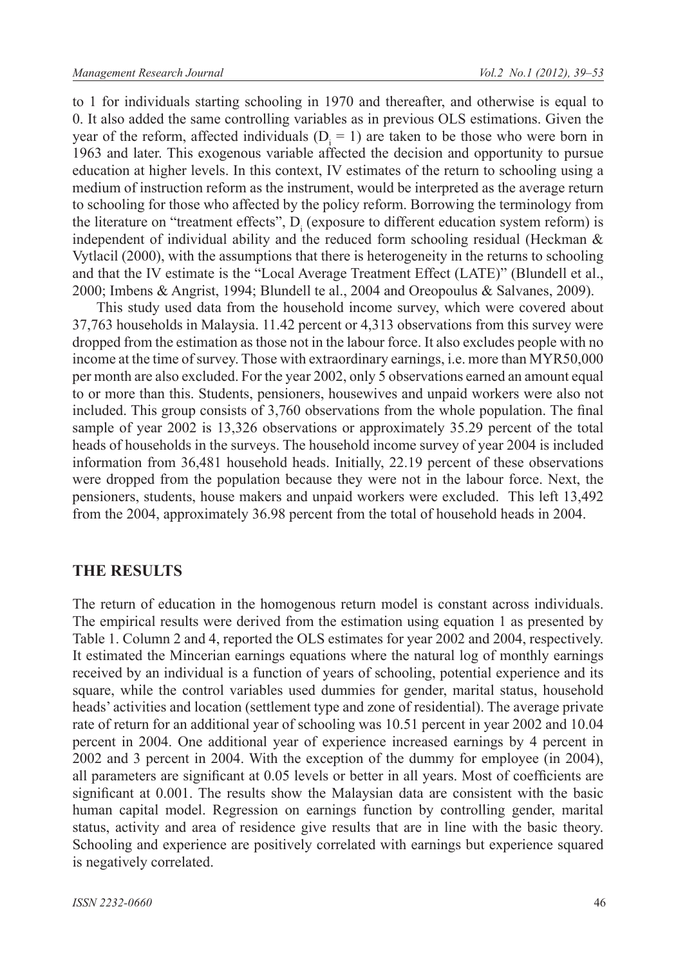to 1 for individuals starting schooling in 1970 and thereafter, and otherwise is equal to 0. It also added the same controlling variables as in previous OLS estimations. Given the year of the reform, affected individuals  $(D_i = 1)$  are taken to be those who were born in 1963 and later. This exogenous variable affected the decision and opportunity to pursue education at higher levels. In this context, IV estimates of the return to schooling using a medium of instruction reform as the instrument, would be interpreted as the average return to schooling for those who affected by the policy reform. Borrowing the terminology from the literature on "treatment effects",  $D_i$  (exposure to different education system reform) is independent of individual ability and the reduced form schooling residual (Heckman & Vytlacil (2000), with the assumptions that there is heterogeneity in the returns to schooling and that the IV estimate is the "Local Average Treatment Effect (LATE)" (Blundell et al., 2000; Imbens & Angrist, 1994; Blundell te al., 2004 and Oreopoulus & Salvanes, 2009).

This study used data from the household income survey, which were covered about 37,763 households in Malaysia. 11.42 percent or 4,313 observations from this survey were dropped from the estimation as those not in the labour force. It also excludes people with no income at the time of survey. Those with extraordinary earnings, i.e. more than MYR50,000 per month are also excluded. For the year 2002, only 5 observations earned an amount equal to or more than this. Students, pensioners, housewives and unpaid workers were also not included. This group consists of 3,760 observations from the whole population. The final sample of year 2002 is 13,326 observations or approximately 35.29 percent of the total heads of households in the surveys. The household income survey of year 2004 is included information from 36,481 household heads. Initially, 22.19 percent of these observations were dropped from the population because they were not in the labour force. Next, the pensioners, students, house makers and unpaid workers were excluded. This left 13,492 from the 2004, approximately 36.98 percent from the total of household heads in 2004.

#### **THE RESULTS**

The return of education in the homogenous return model is constant across individuals. The empirical results were derived from the estimation using equation 1 as presented by Table 1. Column 2 and 4, reported the OLS estimates for year 2002 and 2004, respectively. It estimated the Mincerian earnings equations where the natural log of monthly earnings received by an individual is a function of years of schooling, potential experience and its square, while the control variables used dummies for gender, marital status, household heads' activities and location (settlement type and zone of residential). The average private rate of return for an additional year of schooling was 10.51 percent in year 2002 and 10.04 percent in 2004. One additional year of experience increased earnings by 4 percent in 2002 and 3 percent in 2004. With the exception of the dummy for employee (in 2004), all parameters are significant at 0.05 levels or better in all years. Most of coefficients are significant at 0.001. The results show the Malaysian data are consistent with the basic human capital model. Regression on earnings function by controlling gender, marital status, activity and area of residence give results that are in line with the basic theory. Schooling and experience are positively correlated with earnings but experience squared is negatively correlated.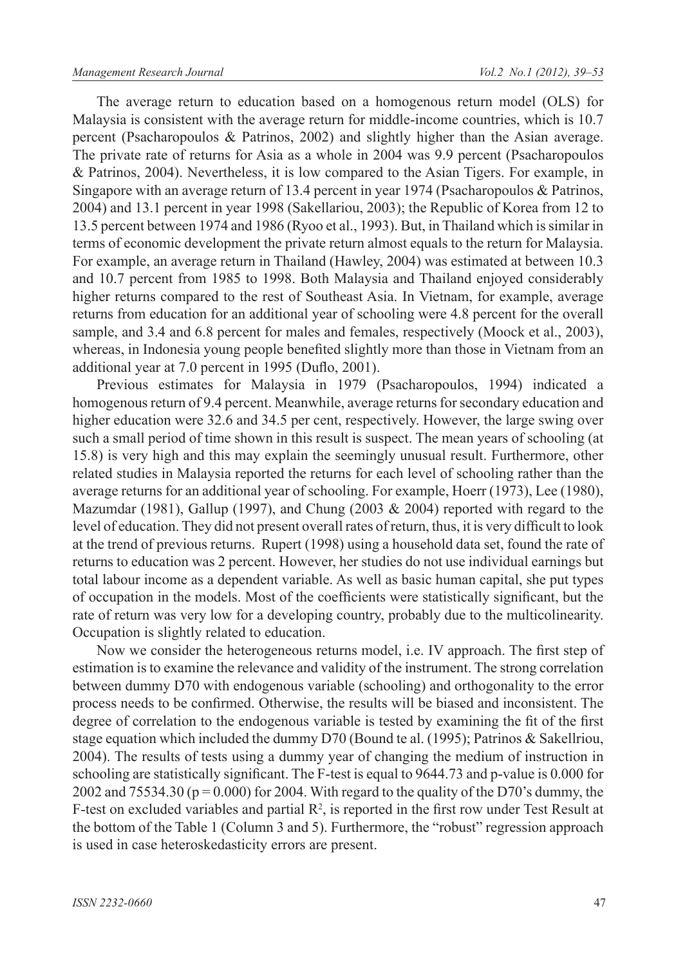The average return to education based on a homogenous return model (OLS) for Malaysia is consistent with the average return for middle-income countries, which is 10.7 percent (Psacharopoulos & Patrinos, 2002) and slightly higher than the Asian average. The private rate of returns for Asia as a whole in 2004 was 9.9 percent (Psacharopoulos & Patrinos, 2004). Nevertheless, it is low compared to the Asian Tigers. For example, in Singapore with an average return of 13.4 percent in year 1974 (Psacharopoulos & Patrinos, 2004) and 13.1 percent in year 1998 (Sakellariou, 2003); the Republic of Korea from 12 to 13.5 percent between 1974 and 1986 (Ryoo et al., 1993). But, in Thailand which is similar in terms of economic development the private return almost equals to the return for Malaysia. For example, an average return in Thailand (Hawley, 2004) was estimated at between 10.3 and 10.7 percent from 1985 to 1998. Both Malaysia and Thailand enjoyed considerably higher returns compared to the rest of Southeast Asia. In Vietnam, for example, average returns from education for an additional year of schooling were 4.8 percent for the overall sample, and 3.4 and 6.8 percent for males and females, respectively (Moock et al., 2003), whereas, in Indonesia young people benefited slightly more than those in Vietnam from an additional year at 7.0 percent in 1995 (Duflo, 2001).

Previous estimates for Malaysia in 1979 (Psacharopoulos, 1994) indicated a homogenous return of 9.4 percent. Meanwhile, average returns for secondary education and higher education were 32.6 and 34.5 per cent, respectively. However, the large swing over such a small period of time shown in this result is suspect. The mean years of schooling (at 15.8) is very high and this may explain the seemingly unusual result. Furthermore, other related studies in Malaysia reported the returns for each level of schooling rather than the average returns for an additional year of schooling. For example, Hoerr (1973), Lee (1980), Mazumdar (1981), Gallup (1997), and Chung (2003 & 2004) reported with regard to the level of education. They did not present overall rates of return, thus, it is very difficult to look at the trend of previous returns. Rupert (1998) using a household data set, found the rate of returns to education was 2 percent. However, her studies do not use individual earnings but total labour income as a dependent variable. As well as basic human capital, she put types of occupation in the models. Most of the coefficients were statistically significant, but the rate of return was very low for a developing country, probably due to the multicolinearity. Occupation is slightly related to education.

Now we consider the heterogeneous returns model, i.e. IV approach. The first step of estimation is to examine the relevance and validity of the instrument. The strong correlation between dummy D70 with endogenous variable (schooling) and orthogonality to the error process needs to be confirmed. Otherwise, the results will be biased and inconsistent. The degree of correlation to the endogenous variable is tested by examining the fit of the first stage equation which included the dummy D70 (Bound te al. (1995); Patrinos & Sakellriou, 2004). The results of tests using a dummy year of changing the medium of instruction in schooling are statistically significant. The F-test is equal to 9644.73 and p-value is 0.000 for 2002 and  $75534.30$  (p = 0.000) for 2004. With regard to the quality of the D70's dummy, the F-test on excluded variables and partial  $\mathbb{R}^2$ , is reported in the first row under Test Result at the bottom of the Table 1 (Column 3 and 5). Furthermore, the "robust" regression approach is used in case heteroskedasticity errors are present.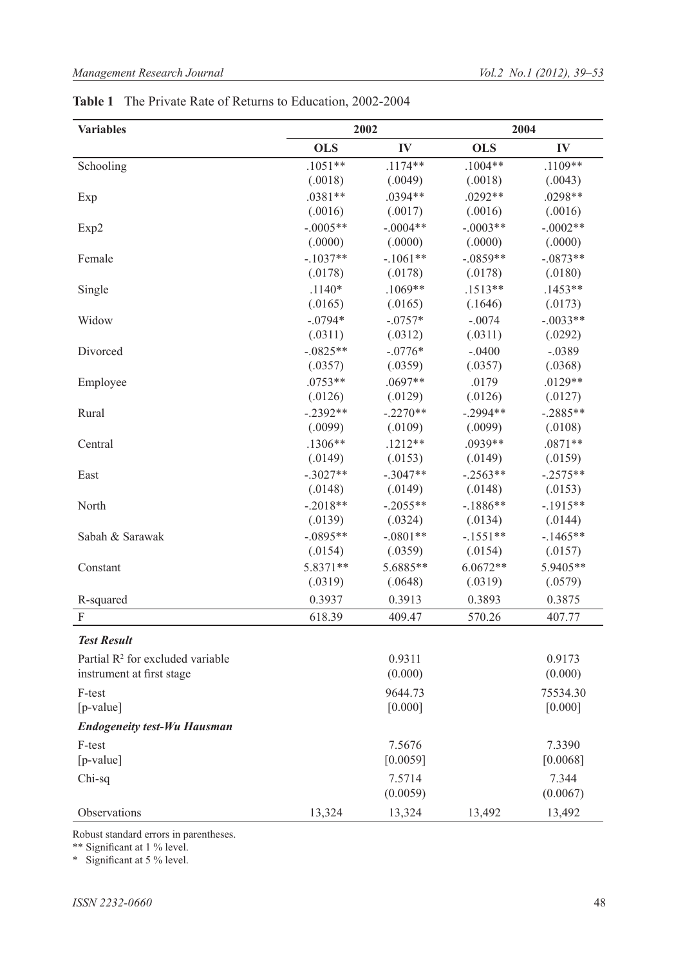#### *Management Research Journal Vol.2 No.1 (2012), 39*‒*53*

| <b>Variables</b>                             | 2002       |            | 2004       |            |
|----------------------------------------------|------------|------------|------------|------------|
|                                              | <b>OLS</b> | IV         | <b>OLS</b> | IV         |
| Schooling                                    | $.1051**$  | $.1174**$  | $.1004**$  | .1109**    |
|                                              | (.0018)    | (.0049)    | (.0018)    | (.0043)    |
| Exp                                          | $.0381**$  | .0394**    | $.0292**$  | .0298**    |
|                                              | (.0016)    | (.0017)    | (.0016)    | (.0016)    |
| Exp2                                         | $-.0005**$ | $-.0004**$ | $-.0003**$ | $-.0002**$ |
|                                              | (.0000)    | (.0000)    | (.0000)    | (.0000)    |
| Female                                       | $-.1037**$ | $-.1061**$ | $-.0859**$ | $-.0873**$ |
|                                              | (.0178)    | (.0178)    | (.0178)    | (.0180)    |
| Single                                       | $.1140*$   | $.1069**$  | $.1513**$  | $.1453**$  |
|                                              | (.0165)    | (.0165)    | (.1646)    | (.0173)    |
| Widow                                        | $-.0794*$  | $-.0757*$  | $-.0074$   | $-.0033**$ |
|                                              | (.0311)    | (.0312)    | (.0311)    | (.0292)    |
| Divorced                                     | $-.0825**$ | $-.0776*$  | $-.0400$   | $-.0389$   |
|                                              | (.0357)    | (.0359)    | (.0357)    | (.0368)    |
| Employee                                     | $.0753**$  | .0697**    | .0179      | .0129**    |
|                                              | (.0126)    | (.0129)    | (.0126)    | (.0127)    |
| Rural                                        | $-.2392**$ | $-.2270**$ | $-.2994**$ | $-.2885**$ |
|                                              | (.0099)    | (.0109)    | (.0099)    | (.0108)    |
| Central                                      | $.1306**$  | $.1212**$  | .0939**    | $.0871**$  |
|                                              | (.0149)    | (.0153)    | (.0149)    | (.0159)    |
| East                                         | $-.3027**$ | $-.3047**$ | $-.2563**$ | $-.2575**$ |
|                                              | (.0148)    | (.0149)    | (.0148)    | (.0153)    |
| North                                        | $-.2018**$ | $-.2055**$ | $-1886**$  | $-.1915**$ |
|                                              | (.0139)    | (.0324)    | (.0134)    | (.0144)    |
| Sabah & Sarawak                              | $-.0895**$ | $-.0801**$ | $-.1551**$ | $-1465**$  |
|                                              | (.0154)    | (.0359)    | (.0154)    | (.0157)    |
| Constant                                     | 5.8371**   | 5.6885**   | 6.0672**   | 5.9405**   |
|                                              | (.0319)    | (.0648)    | (.0319)    | (.0579)    |
| R-squared                                    | 0.3937     | 0.3913     | 0.3893     | 0.3875     |
| $\boldsymbol{\mathrm{F}}$                    | 618.39     | 409.47     | 570.26     | 407.77     |
| <b>Test Result</b>                           |            |            |            |            |
| Partial R <sup>2</sup> for excluded variable |            | 0.9311     |            | 0.9173     |
| instrument at first stage                    |            | (0.000)    |            | (0.000)    |
| F-test                                       |            | 9644.73    |            | 75534.30   |
| $[p-value]$                                  |            | [0.000]    |            | [0.000]    |
| <b>Endogeneity test-Wu Hausman</b>           |            |            |            |            |
| F-test                                       |            | 7.5676     |            | 7.3390     |
| [p-value]                                    |            | [0.0059]   |            | [0.0068]   |
| Chi-sq                                       |            | 7.5714     |            | 7.344      |
|                                              |            | (0.0059)   |            | (0.0067)   |
| Observations                                 |            |            |            |            |
|                                              | 13,324     | 13,324     | 13,492     | 13,492     |

## **Table 1** The Private Rate of Returns to Education, 2002-2004

Robust standard errors in parentheses.

\*\* Significant at 1 % level.

\* Significant at 5 % level.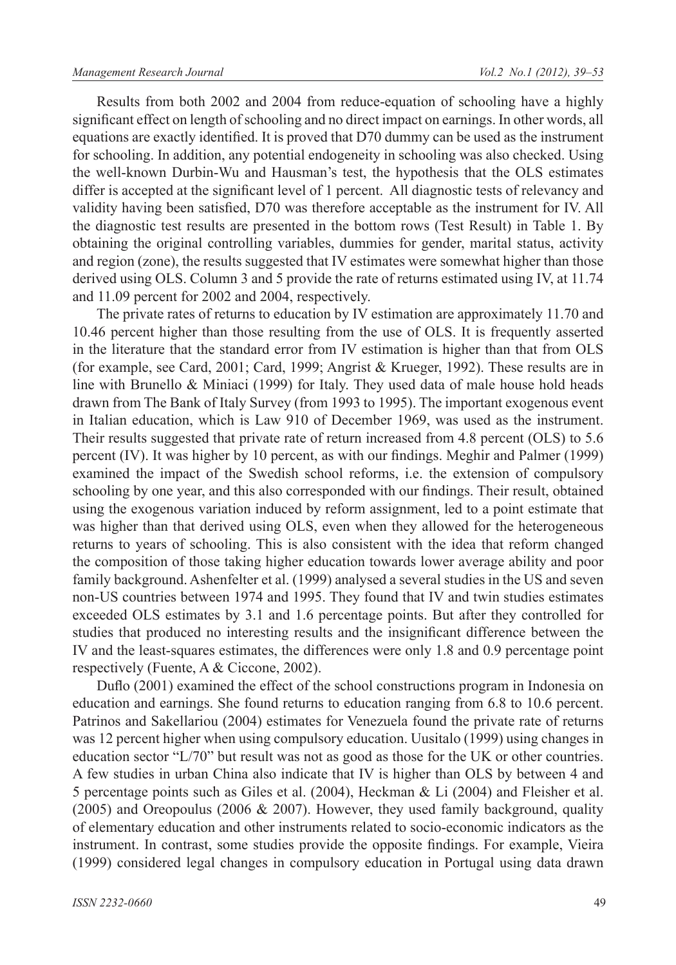Results from both 2002 and 2004 from reduce-equation of schooling have a highly significant effect on length of schooling and no direct impact on earnings. In other words, all equations are exactly identified. It is proved that D70 dummy can be used as the instrument for schooling. In addition, any potential endogeneity in schooling was also checked. Using the well-known Durbin-Wu and Hausman's test, the hypothesis that the OLS estimates differ is accepted at the significant level of 1 percent. All diagnostic tests of relevancy and validity having been satisfied, D70 was therefore acceptable as the instrument for IV. All the diagnostic test results are presented in the bottom rows (Test Result) in Table 1. By obtaining the original controlling variables, dummies for gender, marital status, activity and region (zone), the results suggested that IV estimates were somewhat higher than those derived using OLS. Column 3 and 5 provide the rate of returns estimated using IV, at 11.74 and 11.09 percent for 2002 and 2004, respectively.

The private rates of returns to education by IV estimation are approximately 11.70 and 10.46 percent higher than those resulting from the use of OLS. It is frequently asserted in the literature that the standard error from IV estimation is higher than that from OLS (for example, see Card, 2001; Card, 1999; Angrist & Krueger, 1992). These results are in line with Brunello & Miniaci (1999) for Italy. They used data of male house hold heads drawn from The Bank of Italy Survey (from 1993 to 1995). The important exogenous event in Italian education, which is Law 910 of December 1969, was used as the instrument. Their results suggested that private rate of return increased from 4.8 percent (OLS) to 5.6 percent (IV). It was higher by 10 percent, as with our findings. Meghir and Palmer (1999) examined the impact of the Swedish school reforms, i.e. the extension of compulsory schooling by one year, and this also corresponded with our findings. Their result, obtained using the exogenous variation induced by reform assignment, led to a point estimate that was higher than that derived using OLS, even when they allowed for the heterogeneous returns to years of schooling. This is also consistent with the idea that reform changed the composition of those taking higher education towards lower average ability and poor family background. Ashenfelter et al. (1999) analysed a several studies in the US and seven non-US countries between 1974 and 1995. They found that IV and twin studies estimates exceeded OLS estimates by 3.1 and 1.6 percentage points. But after they controlled for studies that produced no interesting results and the insignificant difference between the IV and the least-squares estimates, the differences were only 1.8 and 0.9 percentage point respectively (Fuente, A & Ciccone, 2002).

Duflo (2001) examined the effect of the school constructions program in Indonesia on education and earnings. She found returns to education ranging from 6.8 to 10.6 percent. Patrinos and Sakellariou (2004) estimates for Venezuela found the private rate of returns was 12 percent higher when using compulsory education. Uusitalo (1999) using changes in education sector "L/70" but result was not as good as those for the UK or other countries. A few studies in urban China also indicate that IV is higher than OLS by between 4 and 5 percentage points such as Giles et al. (2004), Heckman & Li (2004) and Fleisher et al.  $(2005)$  and Oreopoulus (2006 & 2007). However, they used family background, quality of elementary education and other instruments related to socio-economic indicators as the instrument. In contrast, some studies provide the opposite findings. For example, Vieira (1999) considered legal changes in compulsory education in Portugal using data drawn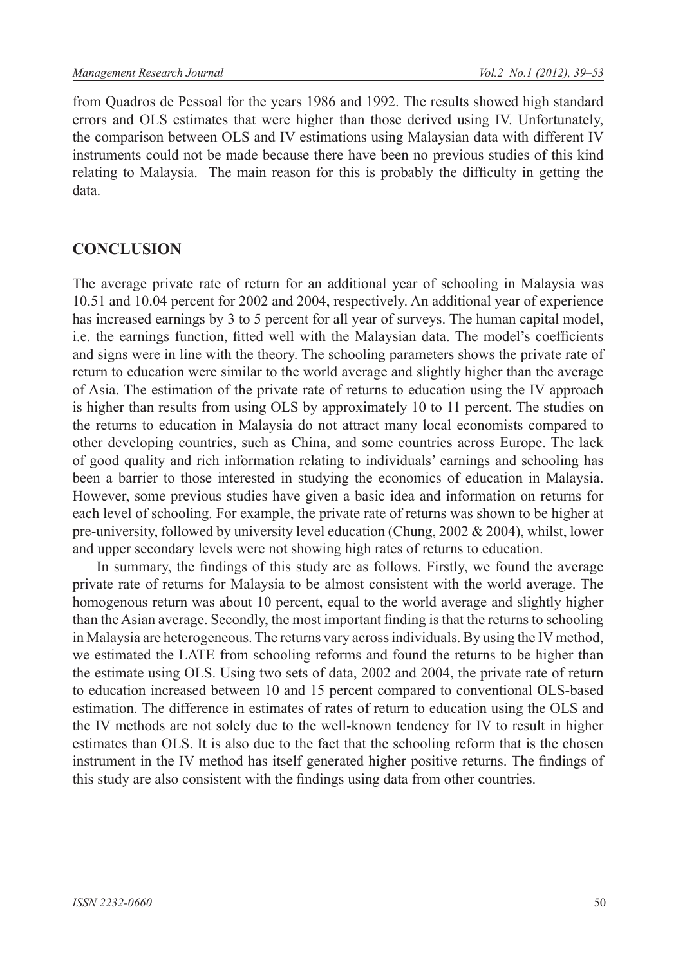from Quadros de Pessoal for the years 1986 and 1992. The results showed high standard errors and OLS estimates that were higher than those derived using IV. Unfortunately, the comparison between OLS and IV estimations using Malaysian data with different IV instruments could not be made because there have been no previous studies of this kind relating to Malaysia. The main reason for this is probably the difficulty in getting the data.

# **CONCLUSION**

The average private rate of return for an additional year of schooling in Malaysia was 10.51 and 10.04 percent for 2002 and 2004, respectively. An additional year of experience has increased earnings by 3 to 5 percent for all year of surveys. The human capital model, i.e. the earnings function, fitted well with the Malaysian data. The model's coefficients and signs were in line with the theory. The schooling parameters shows the private rate of return to education were similar to the world average and slightly higher than the average of Asia. The estimation of the private rate of returns to education using the IV approach is higher than results from using OLS by approximately 10 to 11 percent. The studies on the returns to education in Malaysia do not attract many local economists compared to other developing countries, such as China, and some countries across Europe. The lack of good quality and rich information relating to individuals' earnings and schooling has been a barrier to those interested in studying the economics of education in Malaysia. However, some previous studies have given a basic idea and information on returns for each level of schooling. For example, the private rate of returns was shown to be higher at pre-university, followed by university level education (Chung, 2002 & 2004), whilst, lower and upper secondary levels were not showing high rates of returns to education.

In summary, the findings of this study are as follows. Firstly, we found the average private rate of returns for Malaysia to be almost consistent with the world average. The homogenous return was about 10 percent, equal to the world average and slightly higher than the Asian average. Secondly, the most important finding is that the returns to schooling in Malaysia are heterogeneous. The returns vary across individuals. By using the IV method, we estimated the LATE from schooling reforms and found the returns to be higher than the estimate using OLS. Using two sets of data, 2002 and 2004, the private rate of return to education increased between 10 and 15 percent compared to conventional OLS-based estimation. The difference in estimates of rates of return to education using the OLS and the IV methods are not solely due to the well-known tendency for IV to result in higher estimates than OLS. It is also due to the fact that the schooling reform that is the chosen instrument in the IV method has itself generated higher positive returns. The findings of this study are also consistent with the findings using data from other countries.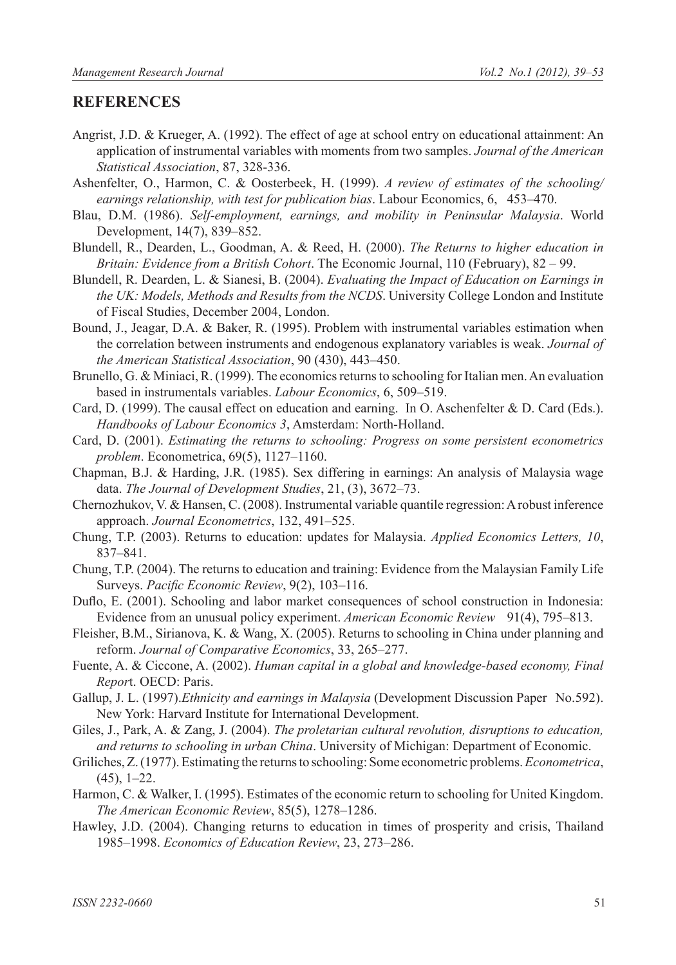#### **REFERENCES**

- Angrist, J.D. & Krueger, A. (1992). The effect of age at school entry on educational attainment: An application of instrumental variables with moments from two samples. *Journal of the American Statistical Association*, 87, 328-336.
- Ashenfelter, O., Harmon, C. & Oosterbeek, H. (1999). *A review of estimates of the schooling/ earnings relationship, with test for publication bias*. Labour Economics, 6, 453-470.
- Blau, D.M. (1986). *Self-employment, earnings, and mobility in Peninsular Malaysia*. World Development, 14(7), 839‒852.
- Blundell, R., Dearden, L., Goodman, A. & Reed, H. (2000). *The Returns to higher education in Britain: Evidence from a British Cohort*. The Economic Journal, 110 (February), 82 – 99.
- Blundell, R. Dearden, L. & Sianesi, B. (2004). *Evaluating the Impact of Education on Earnings in the UK: Models, Methods and Results from the NCDS*. University College London and Institute of Fiscal Studies, December 2004, London.
- Bound, J., Jeagar, D.A. & Baker, R. (1995). Problem with instrumental variables estimation when the correlation between instruments and endogenous explanatory variables is weak. *Journal of the American Statistical Association*, 90 (430), 443‒450.
- Brunello, G. & Miniaci, R. (1999). The economics returns to schooling for Italian men. An evaluation based in instrumentals variables. *Labour Economics*, 6, 509–519.
- Card, D. (1999). The causal effect on education and earning. In O. Aschenfelter & D. Card (Eds.). *Handbooks of Labour Economics 3*, Amsterdam: North-Holland.
- Card, D. (2001). *Estimating the returns to schooling: Progress on some persistent econometrics problem.* Econometrica, 69(5), 1127-1160.
- Chapman, B.J. & Harding, J.R. (1985). Sex differing in earnings: An analysis of Malaysia wage data. *The Journal of Development Studies*, 21, (3), 3672-73.
- Chernozhukov, V. & Hansen, C. (2008). Instrumental variable quantile regression: A robust inference approach. *Journal Econometrics*, 132, 491-525.
- Chung, T.P. (2003). Returns to education: updates for Malaysia. *Applied Economics Letters, 10*, 837‒841.
- Chung, T.P. (2004). The returns to education and training: Evidence from the Malaysian Family Life Surveys. Pacific Economic Review, 9(2), 103-116.
- Duflo, E. (2001). Schooling and labor market consequences of school construction in Indonesia: Evidence from an unusual policy experiment. *American Economic Review* 91(4), 795–813.
- Fleisher, B.M., Sirianova, K. & Wang, X. (2005). Returns to schooling in China under planning and reform. Journal of Comparative Economics, 33, 265-277.
- Fuente, A. & Ciccone, A. (2002). *Human capital in a global and knowledge-based economy, Final Repor*t. OECD: Paris.
- Gallup, J. L. (1997).*Ethnicity and earnings in Malaysia* (Development Discussion Paper No.592). New York: Harvard Institute for International Development.
- Giles, J., Park, A. & Zang, J. (2004). *The proletarian cultural revolution, disruptions to education, and returns to schooling in urban China*. University of Michigan: Department of Economic.
- Griliches, Z. (1977). Estimating the returns to schooling: Some econometric problems. *Econometrica*,  $(45)$ , 1–22.
- Harmon, C. & Walker, I. (1995). Estimates of the economic return to schooling for United Kingdom. *The American Economic Review*, 85(5), 1278‒1286.
- Hawley, J.D. (2004). Changing returns to education in times of prosperity and crisis, Thailand 1985–1998. *Economics of Education Review*, 23, 273–286.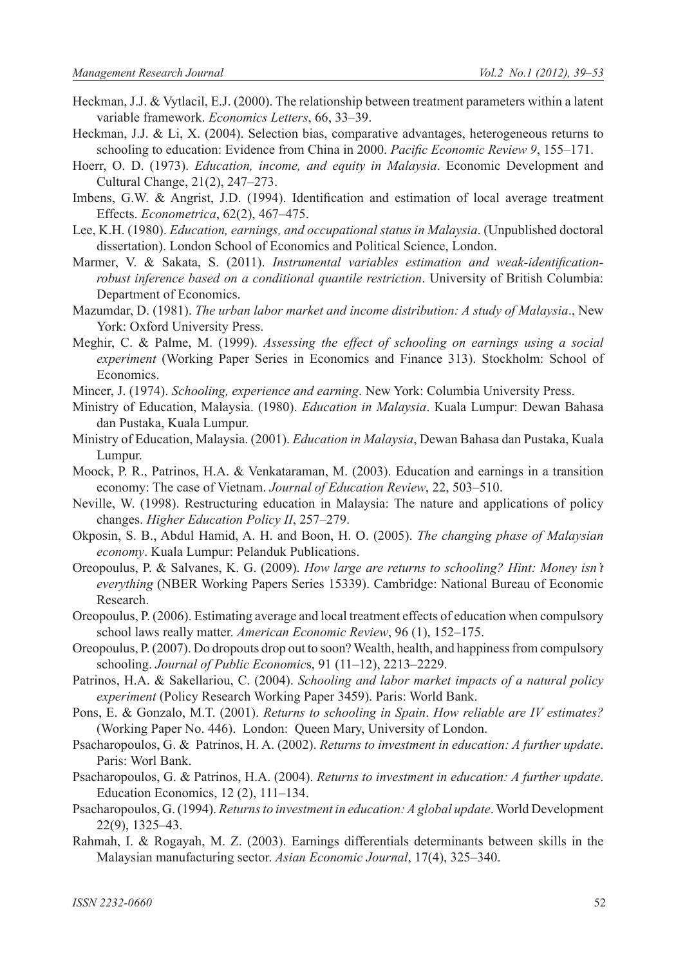- Heckman, J.J. & Vytlacil, E.J. (2000). The relationship between treatment parameters within a latent variable framework. *Economics Letters*, 66, 33–39.
- Heckman, J.J. & Li, X. (2004). Selection bias, comparative advantages, heterogeneous returns to schooling to education: Evidence from China in 2000. *Pacific Economic Review 9*, 155–171.
- Hoerr, O. D. (1973). *Education, income, and equity in Malaysia*. Economic Development and Cultural Change, 21(2), 247–273.
- Imbens, G.W. & Angrist, J.D. (1994). Identification and estimation of local average treatment Effects. *Econometrica*, 62(2), 467‒475.
- Lee, K.H. (1980). *Education, earnings, and occupational status in Malaysia*. (Unpublished doctoral dissertation). London School of Economics and Political Science, London.
- Marmer, V. & Sakata, S. (2011). *Instrumental variables estimation and weak-identificationrobust inference based on a conditional quantile restriction*. University of British Columbia: Department of Economics.
- Mazumdar, D. (1981). *The urban labor market and income distribution: A study of Malaysia*., New York: Oxford University Press.
- Meghir, C. & Palme, M. (1999). *Assessing the effect of schooling on earnings using a social experiment* (Working Paper Series in Economics and Finance 313). Stockholm: School of Economics.
- Mincer, J. (1974). *Schooling, experience and earning*. New York: Columbia University Press.
- Ministry of Education, Malaysia. (1980). *Education in Malaysia*. Kuala Lumpur: Dewan Bahasa dan Pustaka, Kuala Lumpur.
- Ministry of Education, Malaysia. (2001). *Education in Malaysia*, Dewan Bahasa dan Pustaka, Kuala Lumpur.
- Moock, P. R., Patrinos, H.A. & Venkataraman, M. (2003). Education and earnings in a transition economy: The case of Vietnam. *Journal of Education Review*, 22, 503–510.
- Neville, W. (1998). Restructuring education in Malaysia: The nature and applications of policy changes. *Higher Education Policy II*, 257-279.
- Okposin, S. B., Abdul Hamid, A. H. and Boon, H. O. (2005). *The changing phase of Malaysian economy*. Kuala Lumpur: Pelanduk Publications.
- Oreopoulus, P. & Salvanes, K. G. (2009). *How large are returns to schooling? Hint: Money isn't everything* (NBER Working Papers Series 15339). Cambridge: National Bureau of Economic Research.
- Oreopoulus, P. (2006). Estimating average and local treatment effects of education when compulsory school laws really matter. *American Economic Review*, 96 (1), 152-175.
- Oreopoulus, P. (2007). Do dropouts drop out to soon? Wealth, health, and happiness from compulsory schooling. *Journal of Public Economics*, 91 (11-12), 2213-2229.
- Patrinos, H.A. & Sakellariou, C. (2004). *Schooling and labor market impacts of a natural policy experiment* (Policy Research Working Paper 3459). Paris: World Bank.
- Pons, E. & Gonzalo, M.T. (2001). *Returns to schooling in Spain*. *How reliable are IV estimates?*  (Working Paper No. 446). London: Queen Mary, University of London.
- Psacharopoulos, G. & Patrinos, H. A. (2002). *Returns to investment in education: A further update*. Paris: Worl Bank.
- Psacharopoulos, G. & Patrinos, H.A. (2004). *Returns to investment in education: A further update*. Education Economics, 12 (2), 111-134.
- Psacharopoulos, G. (1994). *Returns to investment in education: A global update*. World Development 22(9), 1325‒43.
- Rahmah, I. & Rogayah, M. Z. (2003). Earnings differentials determinants between skills in the Malaysian manufacturing sector. *Asian Economic Journal*, 17(4), 325‒340.